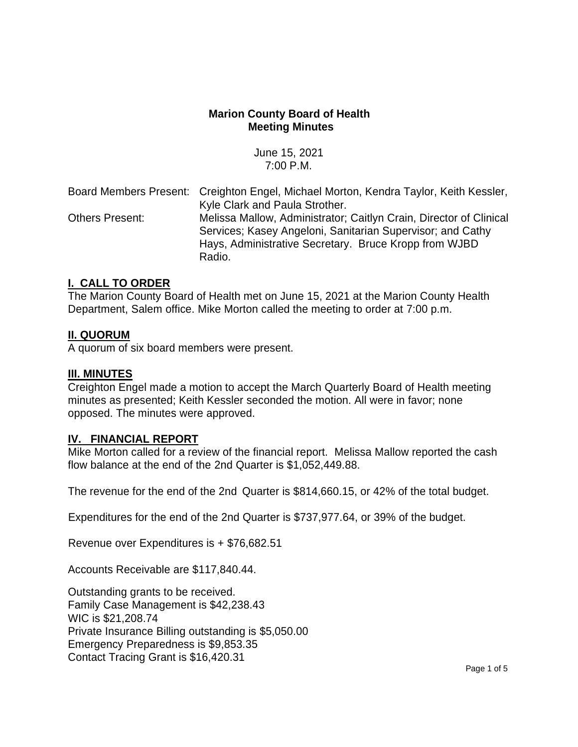# **Marion County Board of Health Meeting Minutes**

June 15, 2021 7:00 P.M.

|                        | Board Members Present: Creighton Engel, Michael Morton, Kendra Taylor, Keith Kessler,                                                                                                     |
|------------------------|-------------------------------------------------------------------------------------------------------------------------------------------------------------------------------------------|
|                        | Kyle Clark and Paula Strother.                                                                                                                                                            |
| <b>Others Present:</b> | Melissa Mallow, Administrator; Caitlyn Crain, Director of Clinical<br>Services; Kasey Angeloni, Sanitarian Supervisor; and Cathy<br>Hays, Administrative Secretary. Bruce Kropp from WJBD |
|                        | Radio.                                                                                                                                                                                    |

#### **I. CALL TO ORDER**

The Marion County Board of Health met on June 15, 2021 at the Marion County Health Department, Salem office. Mike Morton called the meeting to order at 7:00 p.m.

# **II. QUORUM**

A quorum of six board members were present.

#### **III. MINUTES**

Creighton Engel made a motion to accept the March Quarterly Board of Health meeting minutes as presented; Keith Kessler seconded the motion. All were in favor; none opposed. The minutes were approved.

#### **IV. FINANCIAL REPORT**

Mike Morton called for a review of the financial report. Melissa Mallow reported the cash flow balance at the end of the 2nd Quarter is \$1,052,449.88.

The revenue for the end of the 2nd Quarter is \$814,660.15, or 42% of the total budget.

Expenditures for the end of the 2nd Quarter is \$737,977.64, or 39% of the budget.

Revenue over Expenditures is + \$76,682.51

Accounts Receivable are \$117,840.44.

Outstanding grants to be received. Family Case Management is \$42,238.43 WIC is \$21,208.74 Private Insurance Billing outstanding is \$5,050.00 Emergency Preparedness is \$9,853.35 Contact Tracing Grant is \$16,420.31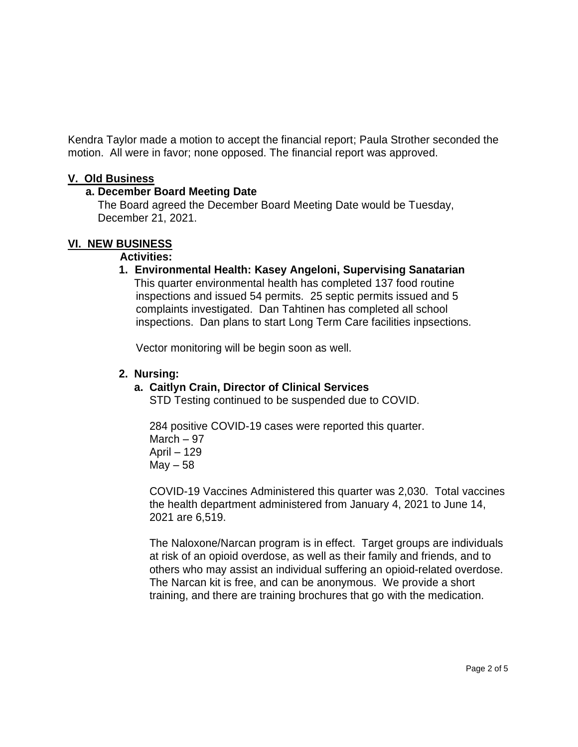Kendra Taylor made a motion to accept the financial report; Paula Strother seconded the motion. All were in favor; none opposed. The financial report was approved.

#### **V. Old Business**

# **a. December Board Meeting Date**

 The Board agreed the December Board Meeting Date would be Tuesday, December 21, 2021.

# **VI. NEW BUSINESS**

#### **Activities:**

**1. Environmental Health: Kasey Angeloni, Supervising Sanatarian** This quarter environmental health has completed 137 food routine inspections and issued 54 permits. 25 septic permits issued and 5 complaints investigated. Dan Tahtinen has completed all school inspections. Dan plans to start Long Term Care facilities inpsections.

Vector monitoring will be begin soon as well.

# **2. Nursing:**

#### **a. Caitlyn Crain, Director of Clinical Services**

STD Testing continued to be suspended due to COVID.

 284 positive COVID-19 cases were reported this quarter. March – 97 April – 129  $May - 58$ 

 COVID-19 Vaccines Administered this quarter was 2,030. Total vaccines the health department administered from January 4, 2021 to June 14, 2021 are 6,519.

 The Naloxone/Narcan program is in effect. Target groups are individuals at risk of an opioid overdose, as well as their family and friends, and to others who may assist an individual suffering an opioid-related overdose. The Narcan kit is free, and can be anonymous. We provide a short training, and there are training brochures that go with the medication.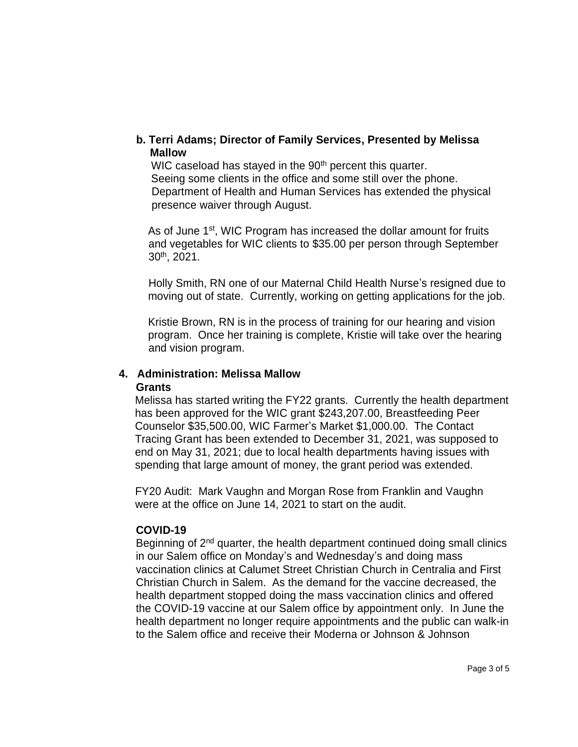#### **b. Terri Adams; Director of Family Services, Presented by Melissa Mallow**

WIC caseload has stayed in the 90<sup>th</sup> percent this quarter. Seeing some clients in the office and some still over the phone. Department of Health and Human Services has extended the physical presence waiver through August.

As of June 1<sup>st</sup>, WIC Program has increased the dollar amount for fruits and vegetables for WIC clients to \$35.00 per person through September 30th, 2021.

 Holly Smith, RN one of our Maternal Child Health Nurse's resigned due to moving out of state. Currently, working on getting applications for the job.

 Kristie Brown, RN is in the process of training for our hearing and vision program. Once her training is complete, Kristie will take over the hearing and vision program.

# **4. Administration: Melissa Mallow**

#### **Grants**

 Melissa has started writing the FY22 grants. Currently the health department has been approved for the WIC grant \$243,207.00, Breastfeeding Peer Counselor \$35,500.00, WIC Farmer's Market \$1,000.00. The Contact Tracing Grant has been extended to December 31, 2021, was supposed to end on May 31, 2021; due to local health departments having issues with spending that large amount of money, the grant period was extended.

 FY20 Audit: Mark Vaughn and Morgan Rose from Franklin and Vaughn were at the office on June 14, 2021 to start on the audit.

# **COVID-19**

Beginning of 2<sup>nd</sup> quarter, the health department continued doing small clinics in our Salem office on Monday's and Wednesday's and doing mass vaccination clinics at Calumet Street Christian Church in Centralia and First Christian Church in Salem. As the demand for the vaccine decreased, the health department stopped doing the mass vaccination clinics and offered the COVID-19 vaccine at our Salem office by appointment only. In June the health department no longer require appointments and the public can walk-in to the Salem office and receive their Moderna or Johnson & Johnson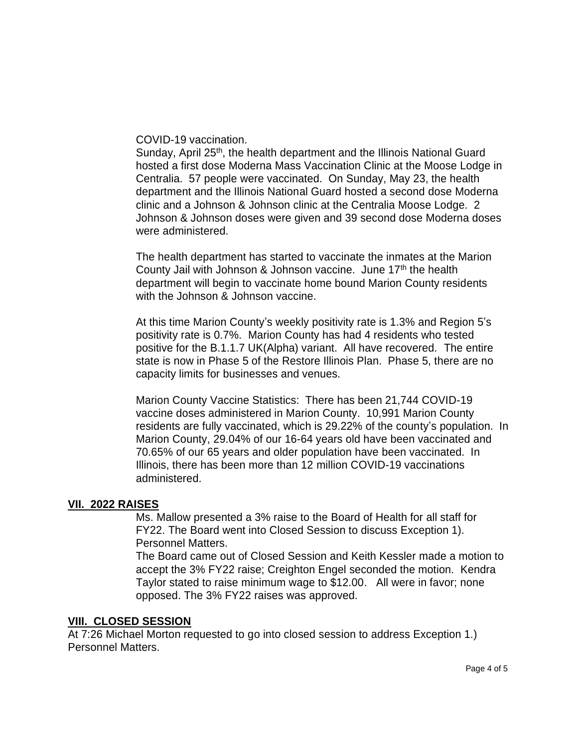COVID-19 vaccination.

Sunday, April 25<sup>th</sup>, the health department and the Illinois National Guard hosted a first dose Moderna Mass Vaccination Clinic at the Moose Lodge in Centralia. 57 people were vaccinated. On Sunday, May 23, the health department and the Illinois National Guard hosted a second dose Moderna clinic and a Johnson & Johnson clinic at the Centralia Moose Lodge. 2 Johnson & Johnson doses were given and 39 second dose Moderna doses were administered.

The health department has started to vaccinate the inmates at the Marion County Jail with Johnson & Johnson vaccine. June  $17<sup>th</sup>$  the health department will begin to vaccinate home bound Marion County residents with the Johnson & Johnson vaccine.

At this time Marion County's weekly positivity rate is 1.3% and Region 5's positivity rate is 0.7%. Marion County has had 4 residents who tested positive for the B.1.1.7 UK(Alpha) variant. All have recovered. The entire state is now in Phase 5 of the Restore Illinois Plan. Phase 5, there are no capacity limits for businesses and venues.

Marion County Vaccine Statistics: There has been 21,744 COVID-19 vaccine doses administered in Marion County. 10,991 Marion County residents are fully vaccinated, which is 29.22% of the county's population. In Marion County, 29.04% of our 16-64 years old have been vaccinated and 70.65% of our 65 years and older population have been vaccinated. In Illinois, there has been more than 12 million COVID-19 vaccinations administered.

#### **VII. 2022 RAISES**

Ms. Mallow presented a 3% raise to the Board of Health for all staff for FY22. The Board went into Closed Session to discuss Exception 1). Personnel Matters.

The Board came out of Closed Session and Keith Kessler made a motion to accept the 3% FY22 raise; Creighton Engel seconded the motion. Kendra Taylor stated to raise minimum wage to \$12.00. All were in favor; none opposed. The 3% FY22 raises was approved.

#### **VIII. CLOSED SESSION**

At 7:26 Michael Morton requested to go into closed session to address Exception 1.) Personnel Matters.